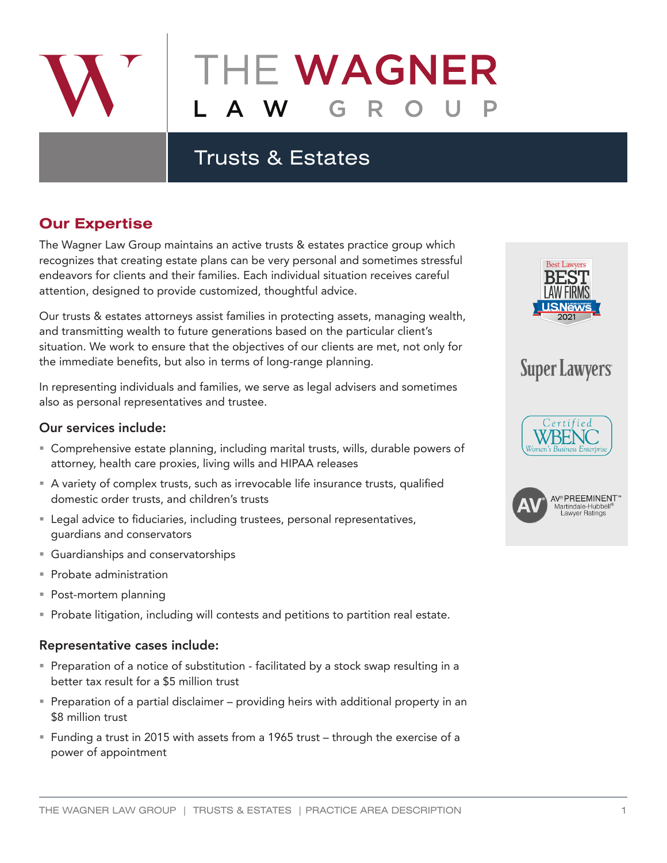

# THE WAGNER

## Trusts & Estates

### **Our Expertise**

The Wagner Law Group maintains an active trusts & estates practice group which recognizes that creating estate plans can be very personal and sometimes stressful endeavors for clients and their families. Each individual situation receives careful attention, designed to provide customized, thoughtful advice.

Our trusts & estates attorneys assist families in protecting assets, managing wealth, and transmitting wealth to future generations based on the particular client's situation. We work to ensure that the objectives of our clients are met, not only for the immediate benefits, but also in terms of long-range planning.

In representing individuals and families, we serve as legal advisers and sometimes also as personal representatives and trustee.

#### Our services include:

- Comprehensive estate planning, including marital trusts, wills, durable powers of attorney, health care proxies, living wills and HIPAA releases
- A variety of complex trusts, such as irrevocable life insurance trusts, qualified domestic order trusts, and children's trusts
- Legal advice to fiduciaries, including trustees, personal representatives, guardians and conservators
- Guardianships and conservatorships
- **Probate administration**
- Post-mortem planning
- **Probate litigation, including will contests and petitions to partition real estate.**

#### Representative cases include:

- **Preparation of a notice of substitution facilitated by a stock swap resulting in a** better tax result for a \$5 million trust
- Preparation of a partial disclaimer providing heirs with additional property in an \$8 million trust
- Funding a trust in 2015 with assets from a 1965 trust through the exercise of a power of appointment



## **Super Lawyers**